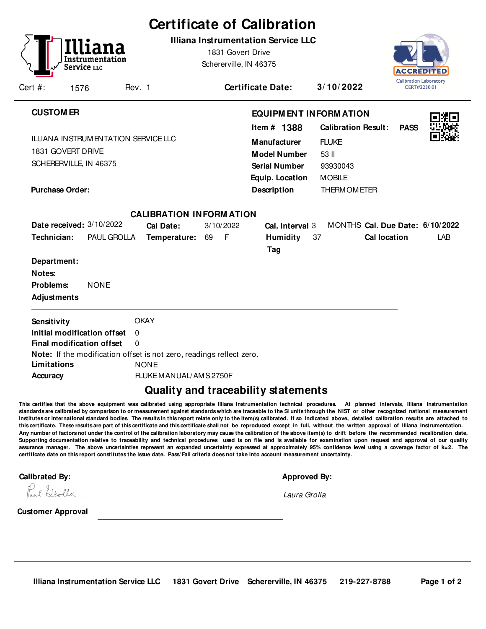|                                                                                           |                     |                                                          |                      | <b>Certificate of Calibration</b>                                                                                            |    |                                             |                          |                                                                                                                            |    |                                                                                                                                          |                     |                                               |
|-------------------------------------------------------------------------------------------|---------------------|----------------------------------------------------------|----------------------|------------------------------------------------------------------------------------------------------------------------------|----|---------------------------------------------|--------------------------|----------------------------------------------------------------------------------------------------------------------------|----|------------------------------------------------------------------------------------------------------------------------------------------|---------------------|-----------------------------------------------|
| Cert #:                                                                                   | Service LLC<br>1576 | Instrumentation                                          | Rev. 1               |                                                                                                                              |    | 1831 Govert Drive<br>Schererville, IN 46375 | <b>Certificate Date:</b> | <b>Illiana Instrumentation Service LLC</b>                                                                                 |    | 3/10/2022                                                                                                                                | ACCREDIT            | <b>Calibration Laboratory</b><br>CERT#2230.01 |
|                                                                                           |                     |                                                          |                      |                                                                                                                              |    |                                             |                          |                                                                                                                            |    |                                                                                                                                          |                     |                                               |
| <b>CUSTOM ER</b><br>1831 GOVERT DRIVE<br>SCHERERVILLE, IN 46375<br><b>Purchase Order:</b> |                     | ILLIANA INSTRUM ENTATION SERVICE LLC                     |                      |                                                                                                                              |    |                                             |                          | Item # 1388<br><b>Manufacturer</b><br><b>Model Number</b><br><b>Serial Number</b><br>Equip. Location<br><b>Description</b> |    | <b>EQUIPM ENT INFORM ATION</b><br><b>Calibration Result:</b><br><b>FLUKE</b><br>53 II<br>93930043<br><b>MOBILE</b><br><b>THERMOMETER</b> | <b>PASS</b>         |                                               |
|                                                                                           |                     | Date received: 3/10/2022                                 |                      | <b>CALIBRATION INFORMATION</b>                                                                                               |    |                                             |                          |                                                                                                                            |    | MONTHS Cal. Due Date: 6/10/2022                                                                                                          |                     |                                               |
| Technician:                                                                               |                     | PAUL GROLLA                                              |                      | Cal Date:<br>Temperature:                                                                                                    | 69 | 3/10/2022<br>$-F$                           |                          | Cal. Interval 3<br><b>Humidity</b><br>Tag                                                                                  | 37 |                                                                                                                                          | <b>Cal location</b> | LAB                                           |
| Department:<br>Notes:<br>Problems:<br><b>Adjustments</b>                                  |                     | <b>NONE</b>                                              |                      |                                                                                                                              |    |                                             |                          |                                                                                                                            |    |                                                                                                                                          |                     |                                               |
| Sensitivity<br>Limitations<br><b>Accuracy</b>                                             |                     | Initial modification offset<br>Final modification offset | $\Omega$<br>$\Omega$ | <b>OKAY</b><br>Note: If the modification offset is not zero, readings reflect zero.<br><b>NONE</b><br>FLUKE MANUAL/AMS 2750F |    |                                             |                          |                                                                                                                            |    |                                                                                                                                          |                     |                                               |

## **Quality and traceability statements**

**This certifies that the above equipment was calibrated using appropriate Illiana Instrumentation technical procedures. At planned intervals, Illiana Instrumentation** standards are calibrated by comparison to or measurement against standards which are traceable to the SI units through the NIST or other recognized national measurement **institutes or international standard bodies. The results in this report relate only to the item(s) calibrated. If so indicated above, detailed calibration results are attached to this certificate. These results are part of this certificate and this certificate shall not be reproduced except in full, without the written approval of Illiana Instrumentation. Any number of factors not under the control of the calibration laboratory may cause the calibration of the above item(s) to drift before the recommended recalibration date. Supporting documentation relative to traceability and technical procedures used is on file and is available for examination upon request and approval of our quality assurance manager. The above uncertainties represent an expanded uncertainty expressed at approximately 95% confidence level using a coverage factor of k=2. The certificate date on this report constitutes the issue date. Pass/ Fail criteria does not take into account measurement uncertainty.**-

**Calibrated By: Approved By:**

|  | Approved Bv: |  |
|--|--------------|--|
|  |              |  |

Laura Grolla

Paul Drolla

**Customer Approval**